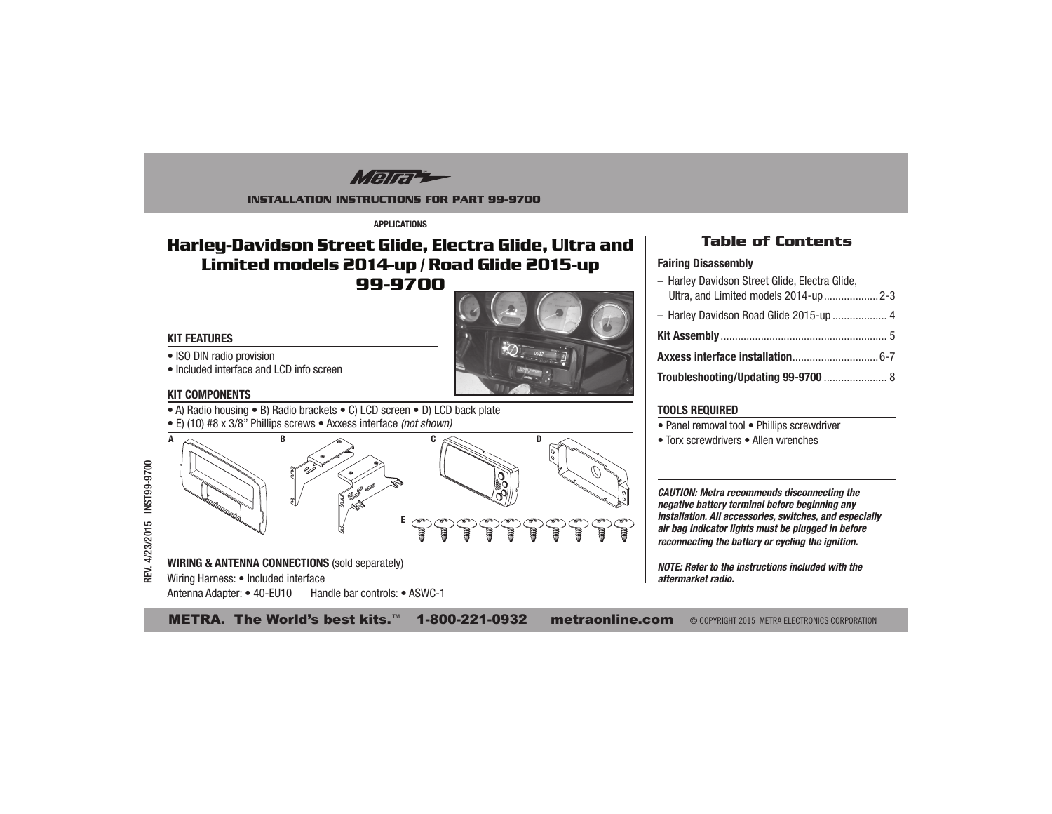Mara

#### **INSTALLATION INSTRUCTIONS FOR PART 99-9700**

**APPI ICATIONS** 

# Harley-Davidson Street Glide, Electra Glide, Ultra and Limited models 2014-up / Road Glide 2015-up 99-9700

### **KIT FEATURES**

• ISO DIN radio provision



## • Included interface and LCD info screen

#### **KIT COMPONENTS**

- A) Radio housing B) Radio brackets C) LCD screen D) LCD back plate
- E) (10) #8 x 3/8" Phillips screws Axxess interface (not shown)



## **Table of Contents**

#### **Fairing Disassembly**

- Harley Davidson Street Glide, Electra Glide. Ultra, and Limited models 2014-up.....................2-3 - Harley Davidson Road Glide 2015-up .................... 4 Troubleshooting/Updating 99-9700 ....................... 8

### **TOOLS REQUIRED**

- Panel removal tool Phillips screwdriver
- Torx screwdrivers Allen wrenches

**CAUTION: Metra recommends disconnecting the** negative battery terminal before beginning any installation. All accessories, switches, and especially air bag indicator lights must be plugged in before reconnecting the battery or cycling the ignition.

NOTE: Refer to the instructions included with the aftermarket radio.

METRA. The World's best kits.<sup>™</sup> 1-800-221-0932 **metraonline.com** © COPYRIGHT 2015 METRA ELECTRONICS CORPORATION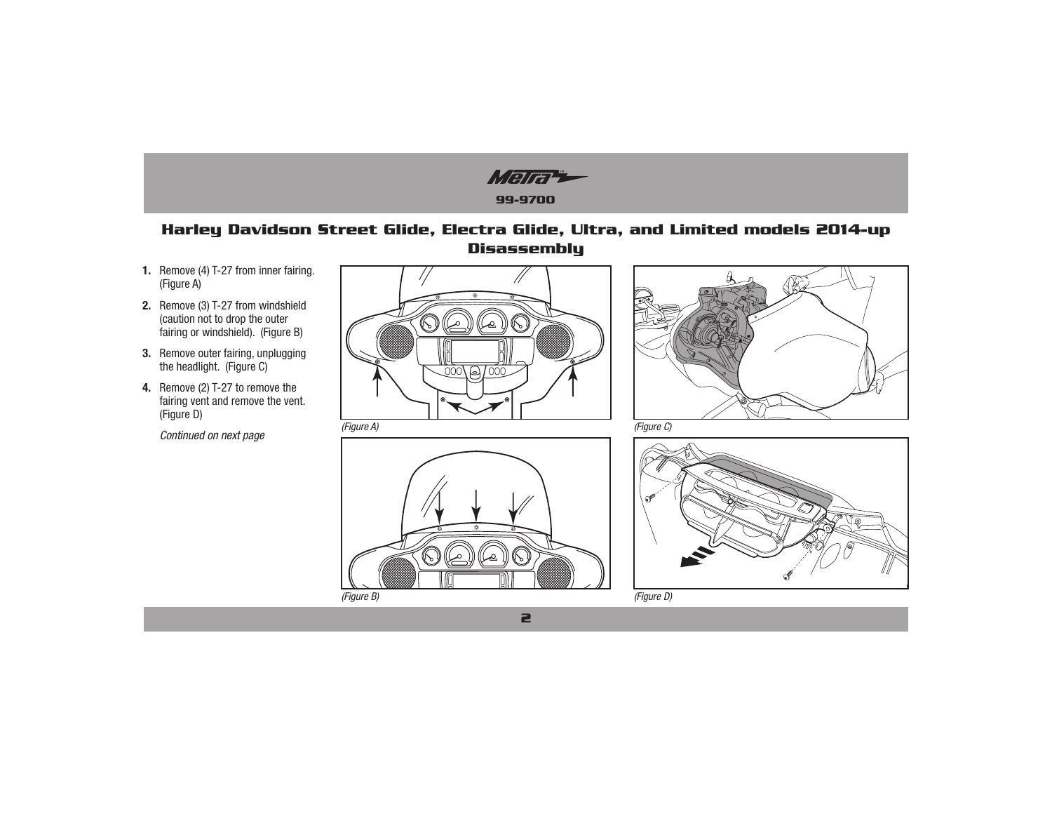

## **Harley Davidson Street Glide, Electra Glide, Ultra, and Limited models 2014-up Disassembly**

- **1.** Remove (4) T-27 from inner fairing. (Figure A)
- **2.** Remove (3) T-27 from windshield (caution not to drop the outer fairing or windshield). (Figure B)
- **3.** Remove outer fairing, unplugging the headlight. (Figure C)
- 4. Remove (2) T-27 to remove the fairing vent and remove the vent. (Figure D)
	-







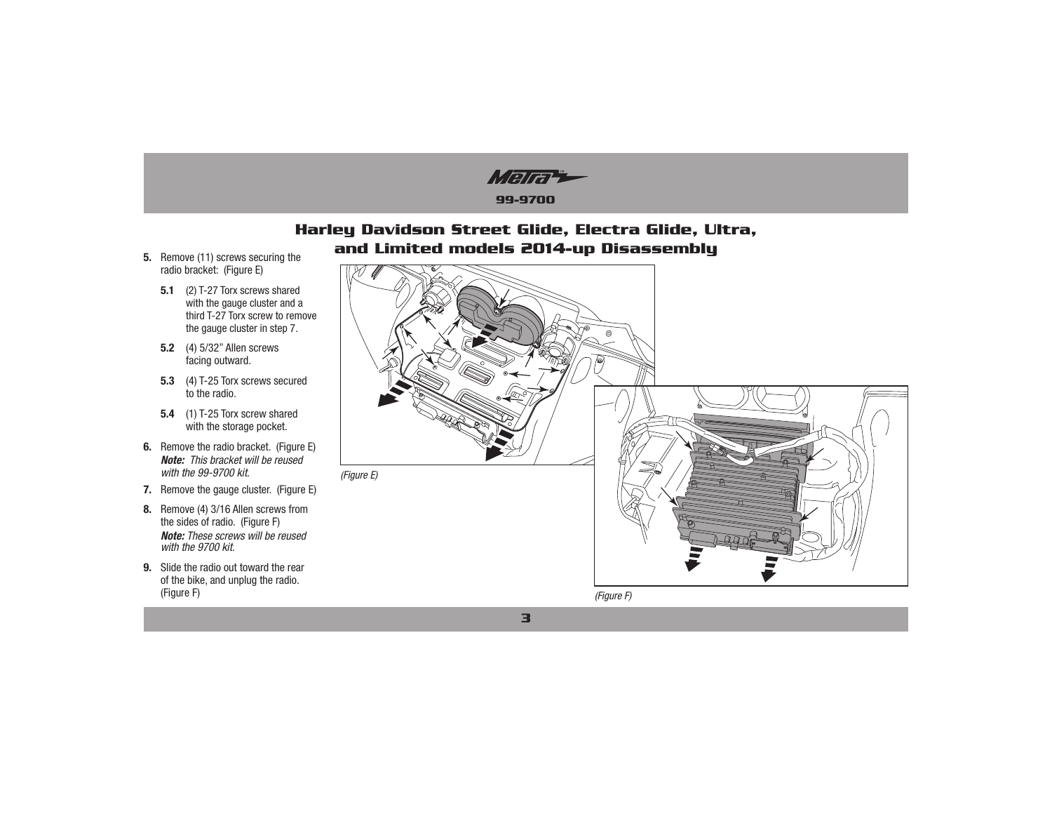Marti **99-9700**

## **Harley Davidson Street Glide, Electra Glide, Ultra,** and Limited models 2014-up Disassembly

- 5. Remove (11) screws securing the radio bracket: (Figure E)
	- **5.1** (2) T-27 Torx screws shared with the gauge cluster and a third T-27 Torx screw to remove the gauge cluster in step 7.
	- **5.2** (4) 5/32" Allen screws facing outward.
	- **5.3** (4) T-25 Torx screws secured to the radio.
	- **5.4** (1) T-25 Torx screw shared with the storage pocket.
- **6.** Remove the radio bracket. (Figure E) *Note:This bracket will be reused with the 99-9700 kit.*
- **7.** Remove the gauge cluster. (Figure E)
- **8.** Remove (4) 3/16 Allen screws from the sides of radio. (Figure F) *Note: These screws will be reused with the 9700 kit.*
- **9.** Slide the radio out toward the rear of the bike, and unplug the radio. (Figure F)

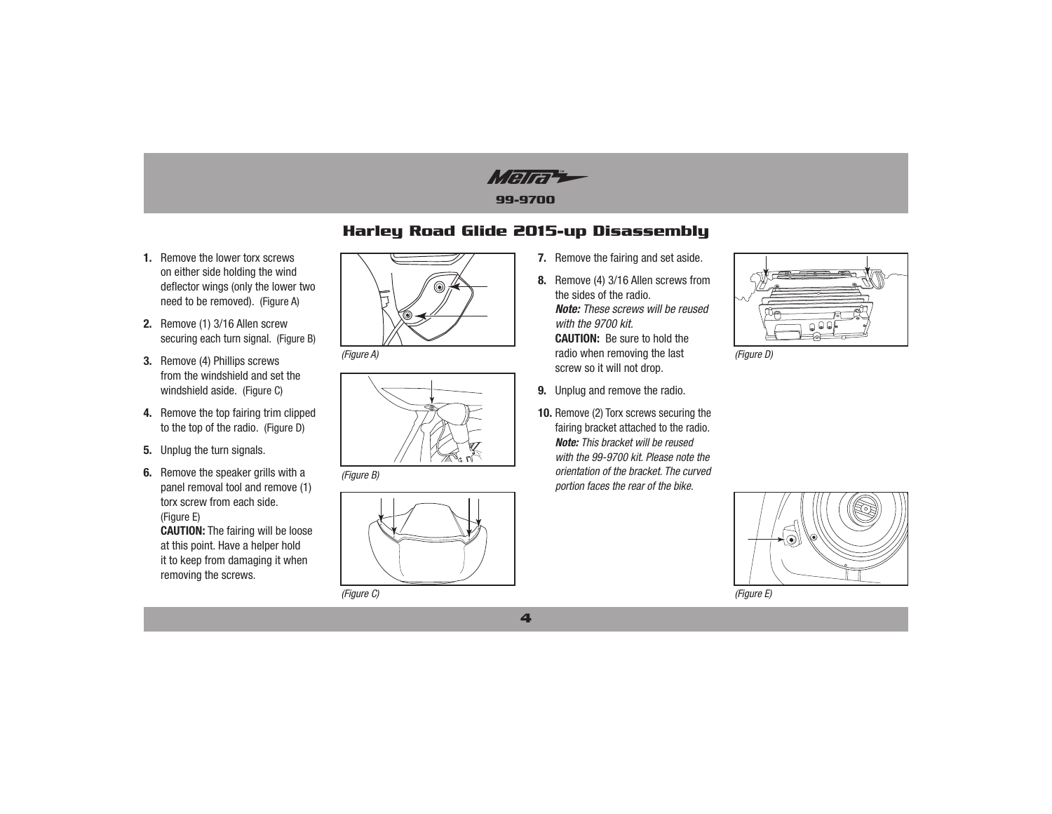Marti

## **Harley Road Glide 2015-up Disassembly**

- **1.** Remove the lower torx screws on either side holding the wind deflector wings (only the lower two need to be removed). (Figure A)
- **2.** Remove (1) 3/16 Allen screw securing each turn signal. (Figure B)
- **3.** Remove (4) Phillips screws from the windshield and set the windshield aside. (Figure C)
- **4.** Remove the top fairing trim clipped to the top of the radio. (Figure D)
- **5.** Unplug the turn signals.
- **6.** Remove the speaker grills with a panel removal tool and remove (1) torx screw from each side. (Figure E) **CAUTION:** The fairing will be loose at this point. Have a helper hold

it to keep from damaging it when removing the screws.





*(Figure B)*



*(Figure C)*

- **7.** Remove the fairing and set aside.
- **8.** Remove (4) 3/16 Allen screws from the sides of the radio. *Note: These screws will be reused with the 9700 kit.* **CAUTION:** Be sure to hold the (*Figure A*) *(Figure A) (Figure D) (Figure D) (Figure D)* screw so it will not drop.
	- **9.** Unplug and remove the radio.
	- **10.** Remove (2) Torx screws securing the fairing bracket attached to the radio. *Note: This bracket will be reused with the 99-9700 kit. Please note the orientation of the bracket. The curved portion faces the rear of the bike.*





*(Figure E)*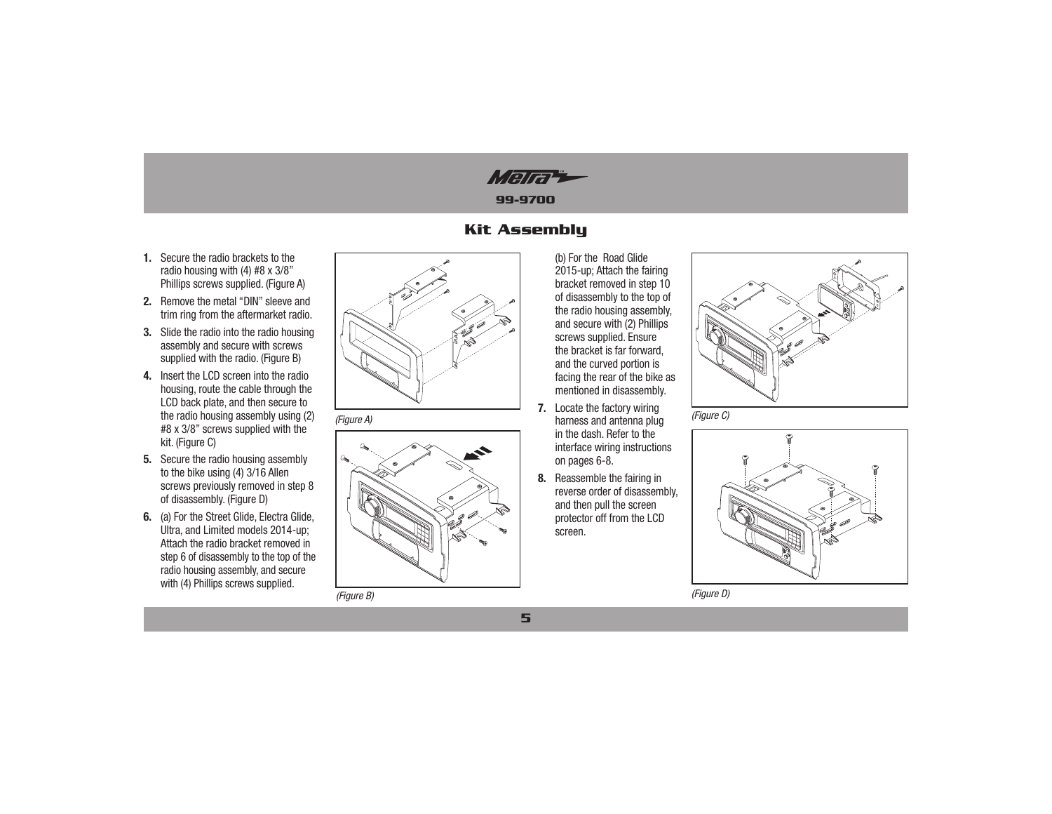Mara

## **Kit Assembly**

5

- 1. Secure the radio brackets to the radio housing with (4) #8 x 3/8" Phillips screws supplied. (Figure A)
- 2. Remove the metal "DIN" sleeve and trim ring from the aftermarket radio.
- 3. Slide the radio into the radio housing assembly and secure with screws supplied with the radio. (Figure B)
- 4. Insert the LCD screen into the radio housing, route the cable through the LCD back plate, and then secure to the radio housing assembly using (2) #8 x 3/8" screws supplied with the kit. (Figure C)
- 5. Secure the radio housing assembly to the bike using (4) 3/16 Allen screws previously removed in step 8 of disassembly. (Figure D)
- 6. (a) For the Street Glide, Electra Glide, Ultra, and Limited models 2014-up; Attach the radio bracket removed in step 6 of disassembly to the top of the radio housing assembly, and secure with (4) Phillips screws supplied.



(Figure A)



(Figure B)

(b) For the Road Glide 2015-up: Attach the fairing bracket removed in step 10 of disassembly to the top of the radio housing assembly. and secure with (2) Phillips screws supplied. Ensure the bracket is far forward, and the curved portion is facing the rear of the bike as mentioned in disassembly.

- 7. Locate the factory wiring harness and antenna plug in the dash. Refer to the interface wiring instructions on pages 6-8.
- 8. Reassemble the fairing in reverse order of disassembly, and then pull the screen protector off from the LCD screen.







(Figure D)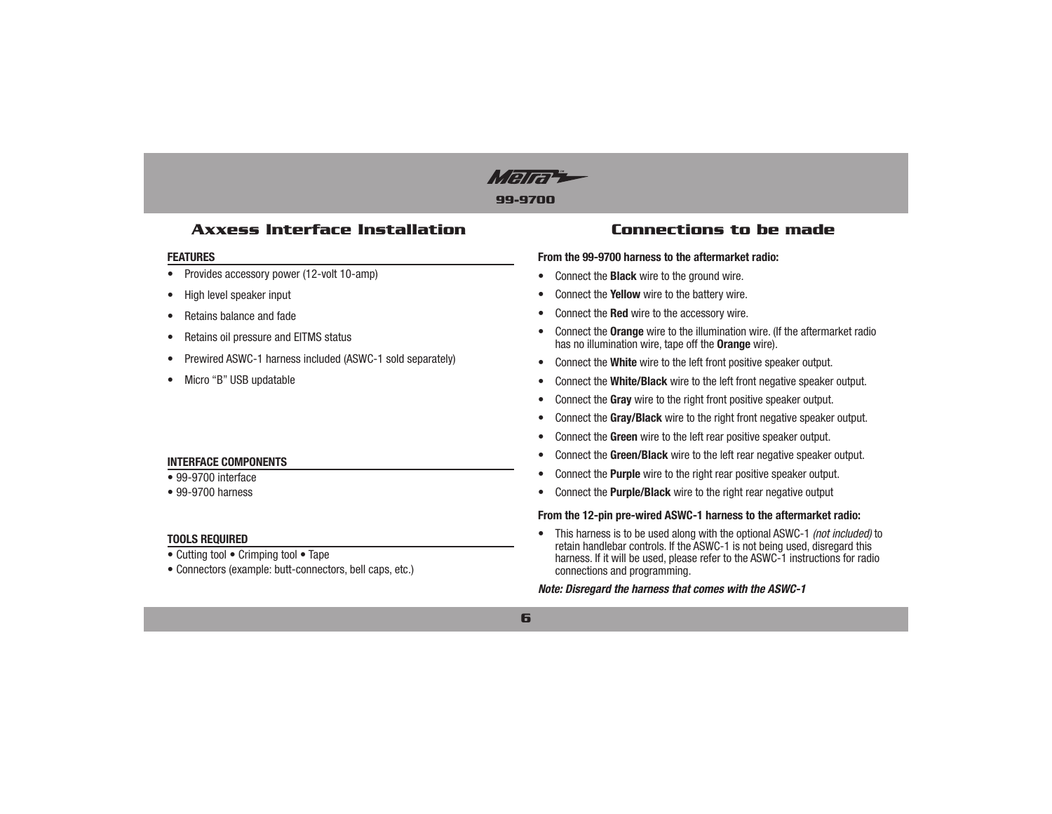

## **Axxess Interface Installation**

#### **FEATURES**

- Provides accessory power (12-volt 10-amp)  $\bullet$
- High level speaker input
- Retains balance and fade
- Retains oil pressure and EITMS status
- Prewired ASWC-1 harness included (ASWC-1 sold separately)
- Micro "B" USB updatable

### **INTERFACE COMPONENTS**

#### • 99-9700 interface

 $\bullet$  99-9700 harness

### **TOOLS REQUIRED**

- Cutting tool Crimping tool Tape
- Connectors (example: butt-connectors, bell caps, etc.)

## **Connections to be made**

#### From the 99-9700 harness to the aftermarket radio:

- Connect the **Black** wire to the ground wire.
- Connect the Yellow wire to the battery wire.
- Connect the Red wire to the accessory wire.
- Connect the Orange wire to the illumination wire. (If the aftermarket radio has no illumination wire, tape off the **Orange** wire).
- Connect the White wire to the left front positive speaker output.
- Connect the White/Black wire to the left front negative speaker output.  $\bullet$
- Connect the Gray wire to the right front positive speaker output.
- Connect the Gray/Black wire to the right front negative speaker output.
- Connect the Green wire to the left rear positive speaker output.
- Connect the Green/Black wire to the left rear negative speaker output.
- Connect the Purple wire to the right rear positive speaker output.  $\bullet$
- Connect the Purple/Black wire to the right rear negative output

#### From the 12-pin pre-wired ASWC-1 harness to the aftermarket radio:

• This harness is to be used along with the optional ASWC-1 (not included) to retain handlebar controls. If the ASWC-1 is not being used, disregard this harness. If it will be used, please refer to the ASWC-1 instructions for radio connections and programming.

#### Note: Disregard the harness that comes with the ASWC-1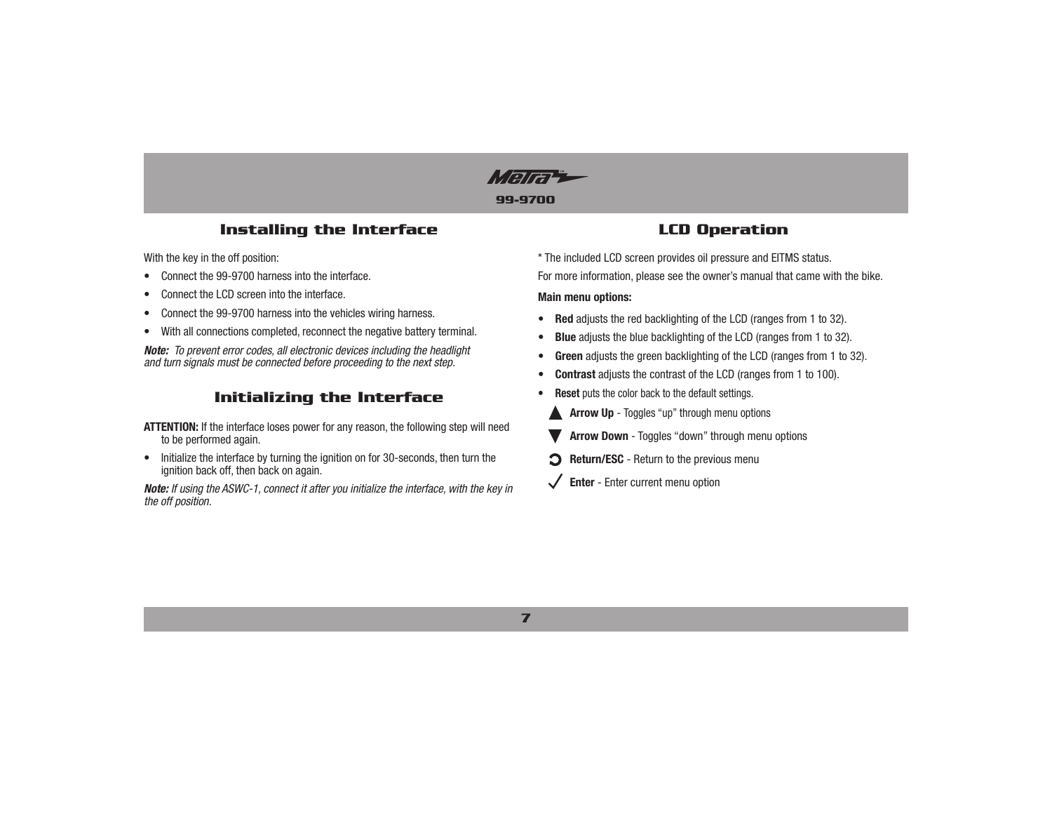Mara

## **Installing the Interface**

With the key in the off position:

- Connect the 99-9700 harness into the interface.
- Connect the LCD screen into the interface.
- Connect the 99-9700 harness into the vehicles wiring harness.
- With all connections completed, reconnect the negative battery terminal.

*Note: To prevent error codes, all electronic devices including the headlight and turn signals must be connected before proceeding to the next step.*

## **Initializing the Interface**

ATTENTION: If the interface loses power for any reason, the following step will need to be performed again.

• Initialize the interface by turning the ignition on for 30-seconds, then turn the ignition back off, then back on again.

*Note: If using the ASWC-1, connect it after you initialize the interface, with the key in the off position.*

## **LCD Operation**

\* The included LCD screen provides oil pressure and EITMS status. For more information, please see the owner's manual that came with the bike.

#### **Main menu options:**

- Red adjusts the red backlighting of the LCD (ranges from 1 to 32).
- **Blue** adjusts the blue backlighting of the LCD (ranges from 1 to 32).
- **Green** adjusts the green backlighting of the LCD (ranges from 1 to 32).
- Contrast adjusts the contrast of the LCD (ranges from 1 to 100).
- **Reset** puts the color back to the default settings.
- **Arrow Up** Toggles "up" through menu options
- **Arrow Down** Toggles "down" through menu options
- **P** Return/ESC Return to the previous menu
- $\checkmark$  **Enter** Enter current menu option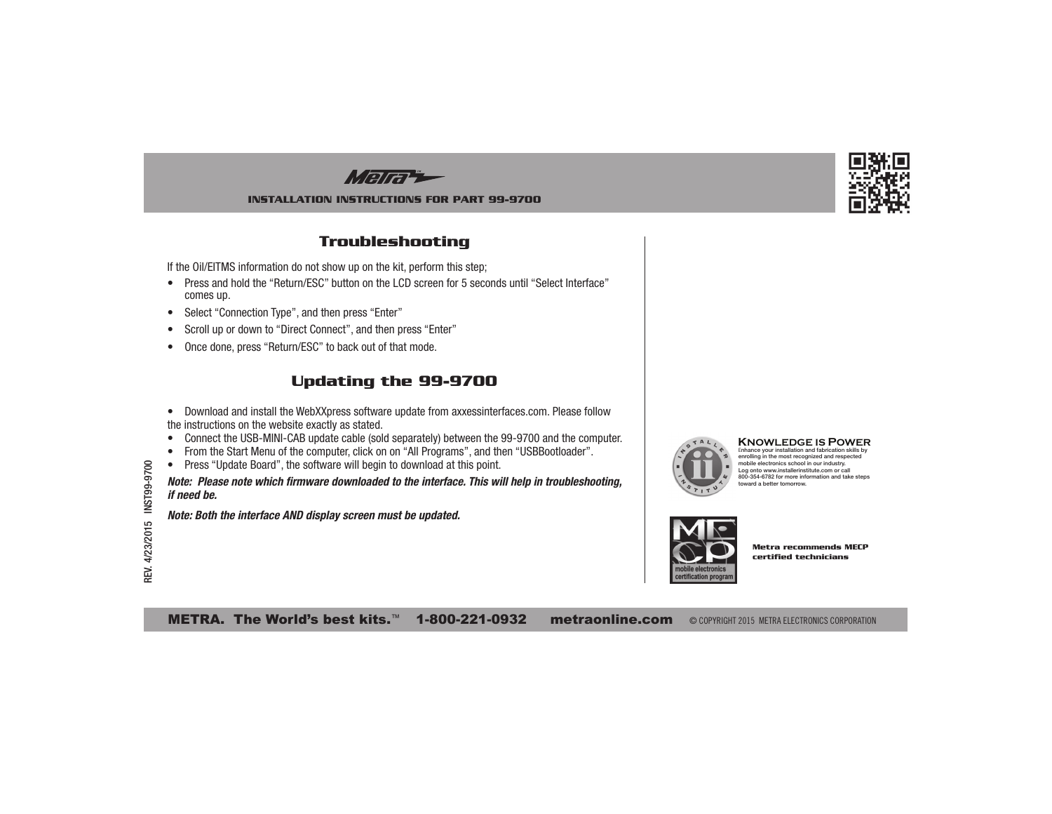Mara

#### **INSTALLATION INSTRUCTIONS FOR PART 99-9700**

## **Troubleshooting**

If the Oil/EITMS information do not show up on the kit, perform this step;

- Press and hold the "Return/ESC" button on the LCD screen for 5 seconds until "Select Interface" comes up.
- Select "Connection Type", and then press "Enter"
- Scroll up or down to "Direct Connect", and then press "Enter"
- Once done, press "Return/ESC" to back out of that mode.

## **Updating the 99-9700**

- Download and install the WebXXpress software update from axxessinterfaces.com. Please follow the instructions on the website exactly as stated.
- Connect the USB-MINI-CAB update cable (sold separately) between the 99-9700 and the computer.
- From the Start Menu of the computer, click on on "All Programs", and then "USBBootloader".
- Press "Update Board", the software will begin to download at this point.

*Note: Please note which firmware downloaded to the interface. This will help in troubleshooting, if need be.*

*Note: Both the interface AND display screen must be updated.*



**KNOWLEDGE IS POWER**<br>Enhance your installation and fabrication skills by<br>enrolling in the most recognized and respected mobile electronics school in our industry. Log onto www.installerinstitute.com or call 800-354-6782 for more information and take steps toward a better tomorrow.



**Metra recommends MECP certified technicians**

METRA. The World's best kits.<sup>™</sup> 1-800-221-0932 metraonline.com © COPYRIGHT 2015 METRA ELECTRONICS CORPORATION

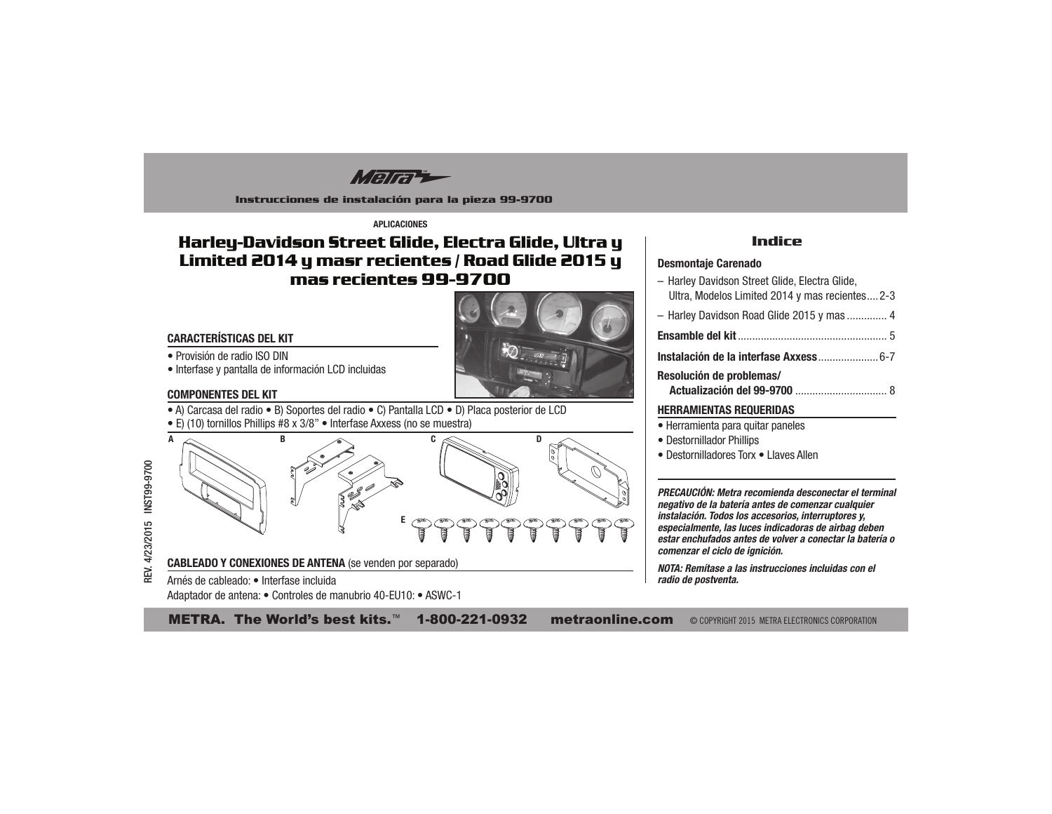Mara

Instrucciones de instalación para la pieza 99-9700

**APLICACIONES** 

# Harley-Davidson Street Glide, Electra Glide, Ultra y Limited 2014 y masr recientes / Road Glide 2015 y mas recientes 99-9700



- · Provisión de radio ISO DIN
- · Interfase y pantalla de información LCD incluidas

#### **COMPONENTES DEL KIT**

- A) Carcasa del radio B) Soportes del radio C) Pantalla LCD D) Placa posterior de LCD
- E) (10) tornillos Phillips #8 x 3/8" Interfase Axxess (no se muestra)

Adaptador de antena: · Controles de manubrio 40-EU10: · ASWC-1



## **Indice**

#### **Desmontaje Carenado**

- Harley Davidson Street Glide, Electra Glide. Ultra, Modelos Limited 2014 y mas recientes....2-3 - Harley Davidson Road Glide 2015 y mas .............. 4 Resolución de problemas/ **HERRAMIENTAS REQUERIDAS** · Herramienta para quitar paneles • Destornillador Phillips • Destornilladores Torx • Llaves Allen

PRECAUCIÓN: Metra recomienda desconectar el terminal negativo de la batería antes de comenzar cualquier instalación. Todos los accesorios, interruptores y,

especialmente, las luces indicadoras de airbag deben estar enchufados antes de volver a conectar la batería o comenzar el ciclo de ignición.

NOTA: Remítase a las instrucciones incluidas con el radio de postventa.

METRA. The World's best kits.<sup>™</sup> 1-800-221-0932 **metraonline.com** © COPYRIGHT 2015 METRA ELECTRONICS CORPORATION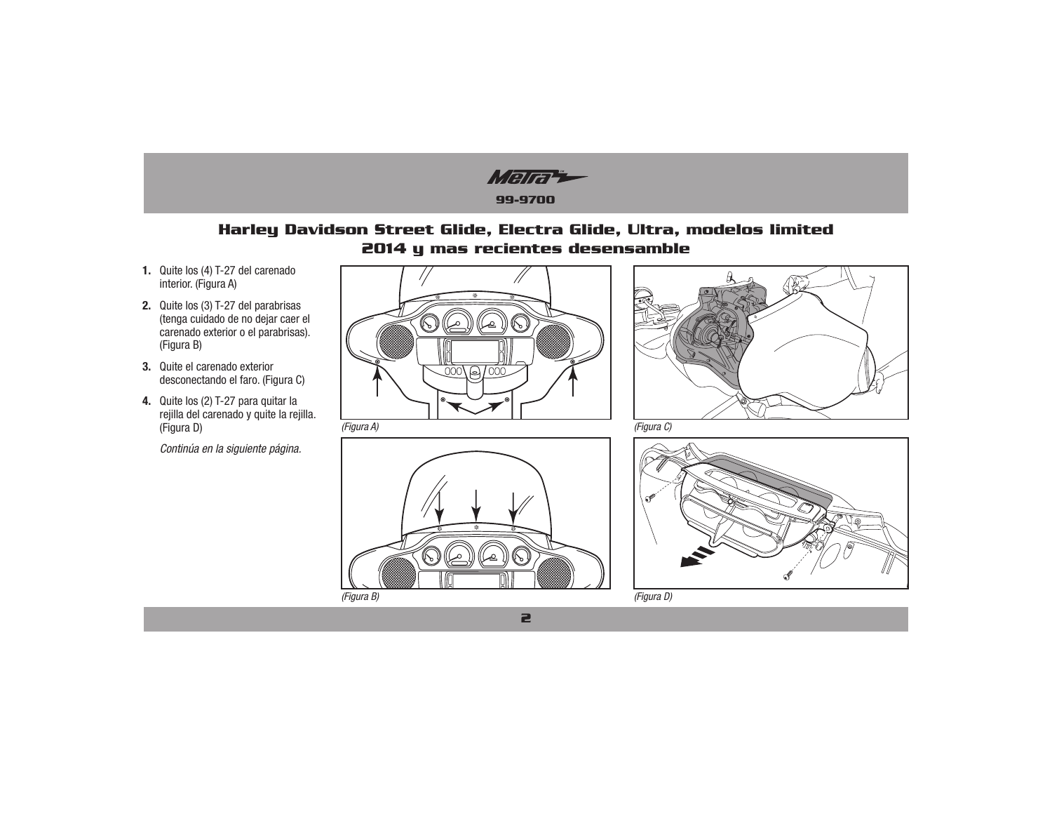Mara **99-9700**

## **Harley Davidson Street Glide, Electra Glide, Ultra, modelos limited 2014 y mas recientes desensamble**

- **1.** Quite los (4) T-27 del carenado interior. (Figura A)
- **2.** Quite los (3) T-27 del parabrisas (tenga cuidado de no dejar caer el carenado exterior o el parabrisas). (Figura B)
- **3.** Quite el carenado exterior desconectando el faro. (Figura C)
- **4.** Quite los (2) T-27 para quitar la rejilla del carenado y quite la rejilla. (Figura D)
	- *Continúa en la siguiente página.*









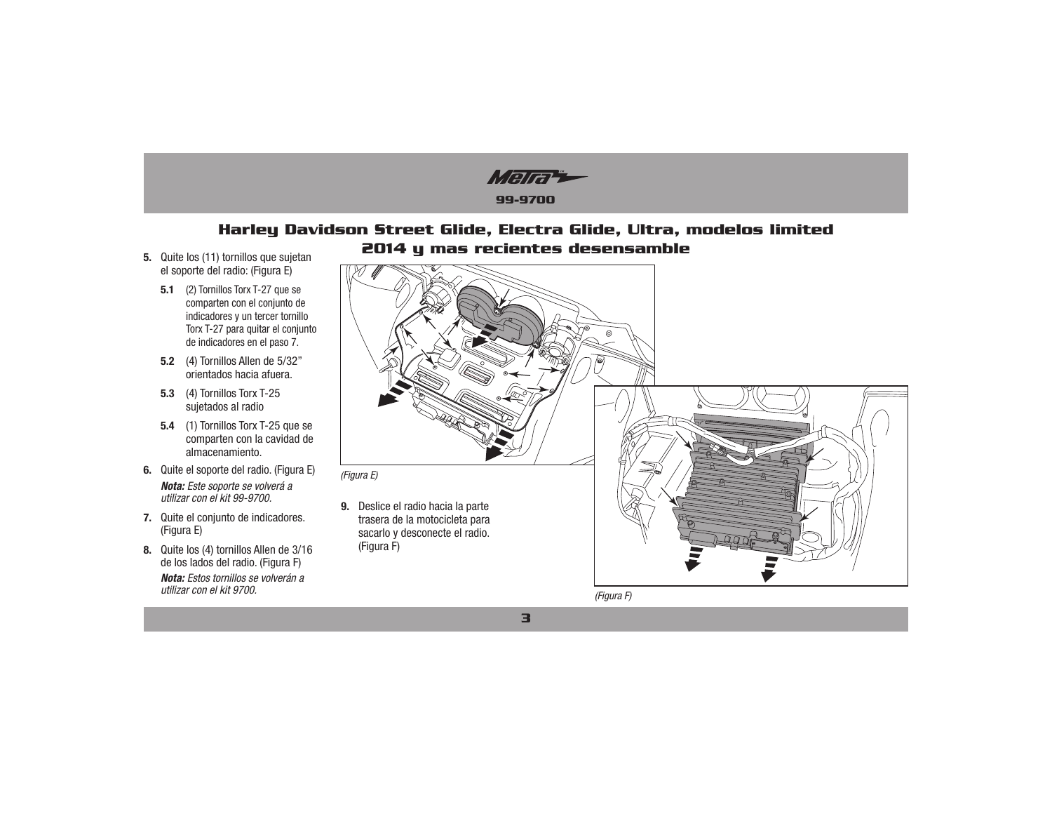

## **Harley Davidson Street Glide, Electra Glide, Ultra, modelos limited 2014 y mas recientes desensamble**

**3**

- 5. Quite los (11) tornillos que sujetan el soporte del radio: (Figura E)
	- **5.1** (2) Tornillos Torx T-27 que se comparten con el conjunto de indicadores y un tercer tornillo Torx T-27 para quitar el conjunto de indicadores en el paso 7.
	- **5.2** (4) Tornillos Allen de 5/32" orientados hacia afuera.
	- **5.3** (4) Tornillos Torx T-25 sujetados al radio
	- **5.4** (1) Tornillos Torx T-25 que se comparten con la cavidad de almacenamiento.
- **6.** Quite el soporte del radio. (Figura E) *Nota: Este soporte se volverá a utilizar con el kit 99-9700.*
- **7.** Quite el conjunto de indicadores. (Figura E)
- **8.** Quite los (4) tornillos Allen de 3/16 de los lados del radio. (Figura F) *Nota: Estos tornillos se volverán a utilizar con el kit 9700.*



*(Figura F)*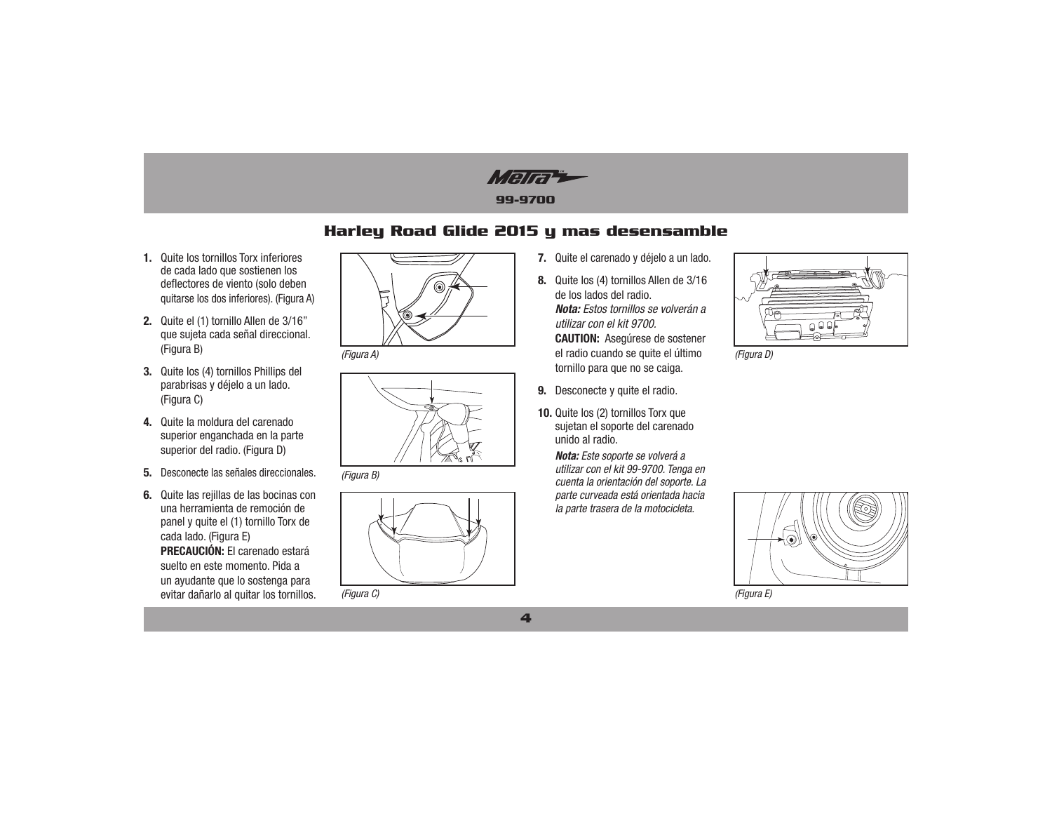Malta

## Harley Road Glide 2015 y mas desensamble

- 1. Quite los tornillos Torx inferiores de cada lado que sostienen los deflectores de viento (solo deben quitarse los dos inferiores). (Figura A)
- 2. Quite el (1) tornillo Allen de 3/16" que sujeta cada señal direccional. (Figura B)
- 3. Quite los (4) tornillos Phillips del parabrisas y déjelo a un lado. (Figura C)
- 4. Quite la moldura del carenado superior enganchada en la parte superior del radio. (Figura D)
- 5. Desconecte las señales direccionales.
- 6. Quite las reiillas de las bocinas con una herramienta de remoción de panel y quite el (1) tornillo Torx de cada lado. (Figura E) PRECAUCIÓN: El carenado estará suelto en este momento. Pida a un ayudante que lo sostenga para evitar dañarlo al quitar los tornillos.



(Figura A)



(Figura B)



(Figura C)

- 7. Quite el carenado y déjelo a un lado.
- 8. Quite los (4) tornillos Allen de 3/16 de los lados del radio. Nota: Estos tornillos se volverán a utilizar con el kit 9700. **CAUTION:** Asegúrese de sostener el radio cuando se quite el último tornillo para que no se caiga.
- 9. Desconecte y quite el radio.
- 10. Quite los (2) tornillos Torx que sujetan el soporte del carenado unido al radio.

Nota: Este soporte se volverá a utilizar con el kit 99-9700. Tenga en cuenta la orientación del soporte. La parte curveada está orientada hacia la parte trasera de la motocicleta.



(Figura D)



(Figura E)

 $\overline{\mathbf{4}}$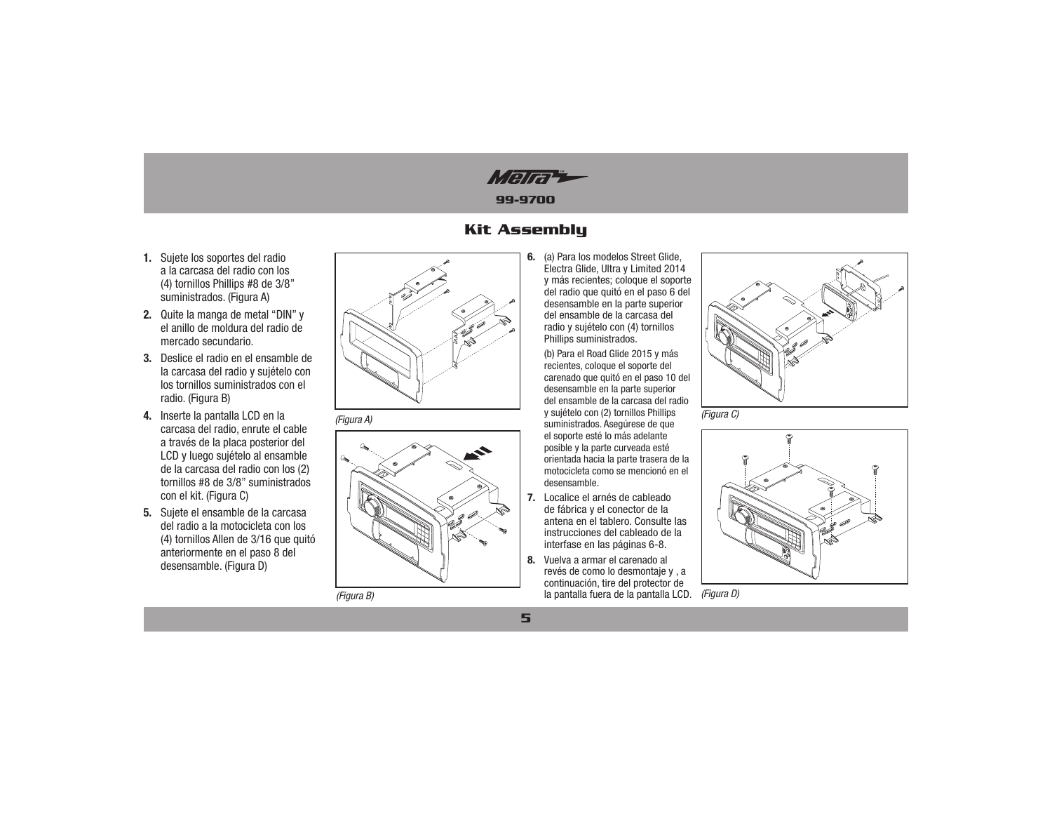Mara

## **Kit Assembly**

- 1. Sujete los soportes del radio a la carcasa del radio con los (4) tornillos Phillips #8 de 3/8" suministrados. (Figura A)
- 2. Quite la manga de metal "DIN" y el anillo de moldura del radio de mercado secundario.
- 3. Deslice el radio en el ensamble de la carcasa del radio y sujételo con los tornillos suministrados con el radio. (Figura B)
- 4. Inserte la pantalla LCD en la carcasa del radio, enrute el cable a través de la placa posterior del LCD y luego sujételo al ensamble de la carcasa del radio con los (2) tornillos #8 de 3/8" suministrados con el kit. (Figura C)
- 5. Sujete el ensamble de la carcasa del radio a la motocicleta con los (4) tornillos Allen de 3/16 que quitó anteriormente en el paso 8 del desensamble. (Figura D)







(Figura B)

6. (a) Para los modelos Street Glide, Electra Glide, Ultra y Limited 2014 y más recientes; coloque el soporte del radio que quitó en el paso 6 del desensamble en la parte superior del ensamble de la carcasa del radio y sujételo con (4) tornillos Phillips suministrados.

(b) Para el Road Glide 2015 y más recientes, coloque el soporte del carenado que quitó en el paso 10 del desensamble en la parte superior del ensamble de la carcasa del radio y sujételo con (2) tornillos Phillips suministrados. Asegúrese de que el soporte esté lo más adelante posible y la parte curveada esté orientada hacia la parte trasera de la motocicleta como se mencionó en el desensamble.

- 7. Localice el arnés de cableado de fábrica y el conector de la antena en el tablero. Consulte las instrucciones del cableado de la interfase en las páginas 6-8.
- 8. Vuelva a armar el carenado al revés de como lo desmontaje y , a continuación, tire del protector de la pantalla fuera de la pantalla LCD. (Figura D)



(Figura C)

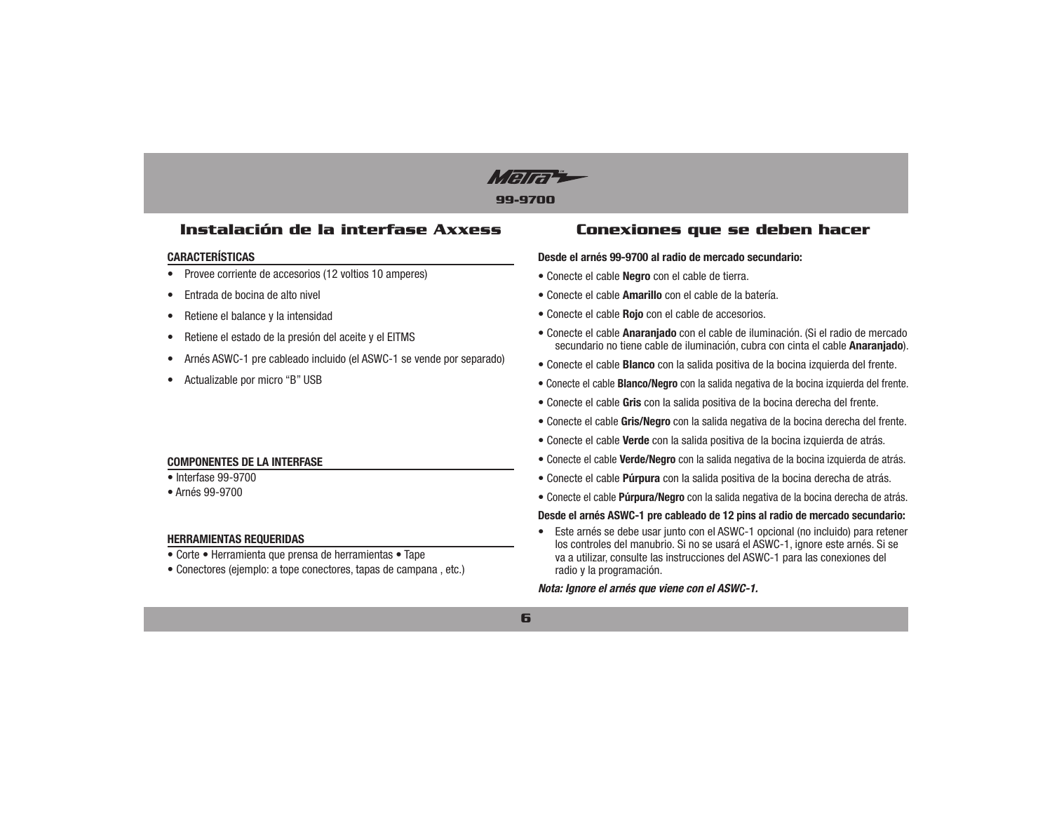

## Instalación de la interfase Axxess

#### **CARACTERÍSTICAS**

- Provee corriente de accesorios (12 voltios 10 amperes)  $\bullet$
- Entrada de bocina de alto nivel
- Retiene el balance y la intensidad
- Retiene el estado de la presión del aceite y el EITMS
- Arnés ASWC-1 pre cableado incluido (el ASWC-1 se vende por separado)
- Actualizable por micro "B" USB

### **COMPONENTES DE LA INTERFASE**

#### $\bullet$  Interfase 99-9700

· Arnés 99-9700

### **HERRAMIENTAS REQUERIDAS**

- Corte Herramienta que prensa de herramientas Tape
- Conectores (ejemplo: a tope conectores, tapas de campana, etc.)

## Conexiones que se deben hacer

#### Desde el arnés 99-9700 al radio de mercado secundario:

- · Conecte el cable Negro con el cable de tierra.
- Conecte el cable Amarillo con el cable de la batería.
- Conecte el cable Roio con el cable de accesorios.
- Conecte el cable Anaranjado con el cable de iluminación. (Si el radio de mercado secundario no tiene cable de iluminación, cubra con cinta el cable Anaranjado).
- Conecte el cable **Blanco** con la salida positiva de la bocina izquierda del frente.
- Conecte el cable **Blanco/Negro** con la salida negativa de la bocina izquierda del frente.
- Conecte el cable Gris con la salida positiva de la bocina derecha del frente.
- Conecte el cable Gris/Negro con la salida negativa de la bocina derecha del frente.
- Conecte el cable Verde con la salida positiva de la bocina izquierda de atrás.
- Conecte el cable Verde/Negro con la salida negativa de la bocina izquierda de atrás.
- Conecte el cable Púrpura con la salida positiva de la bocina derecha de atrás.
- Conecte el cable Púrpura/Negro con la salida negativa de la bocina derecha de atrás.

#### Desde el arnés ASWC-1 pre cableado de 12 pins al radio de mercado secundario:

• Este arnés se debe usar junto con el ASWC-1 opcional (no incluido) para retener los controles del manubrio. Si no se usará el ASWC-1, ignore este arnés. Si se va a utilizar, consulte las instrucciones del ASWC-1 para las conexiones del radio y la programación.

Nota: Ignore el arnés que viene con el ASWC-1.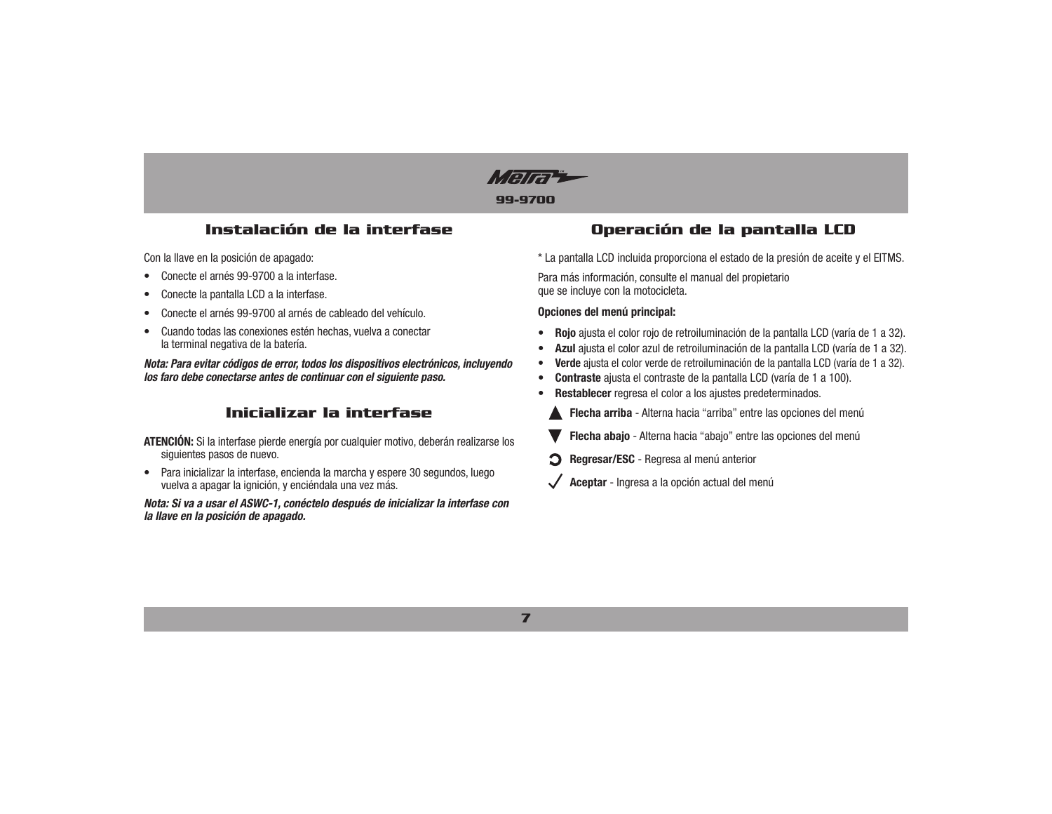

## Instalación de la interfase

Con la llave en la posición de apagado:

- Conecte el arnés 99-9700 a la interfase.
- Conecte la pantalla LCD a la interfase.
- Conecte el arnés 99-9700 al arnés de cableado del vehículo.
- Cuando todas las conexiones estén hechas, vuelva a conectar la terminal negativa de la batería.

Nota: Para evitar códigos de error, todos los dispositivos electrónicos, incluvendo los faro debe conectarse antes de continuar con el siguiente paso.

## Inicializar la interfase

**ATENCIÓN:** Si la interfase pierde energía por cualquier motivo, deberán realizarse los siguientes pasos de nuevo.

• Para inicializar la interfase, encienda la marcha y espere 30 segundos, luego vuelva a apagar la ignición, y enciéndala una vez más.

Nota: Si va a usar el ASWC-1, conéctelo después de inicializar la interfase con la llave en la posición de apagado.

## Operación de la pantalla LCD

\* La pantalla LCD incluida proporciona el estado de la presión de aceite y el EITMS.

Para más información, consulte el manual del propietario que se incluye con la motocicleta.

#### Opciones del menú principal:

- Rojo ajusta el color rojo de retroiluminación de la pantalla LCD (varía de 1 a 32).
- Azul ajusta el color azul de retroiluminación de la pantalla LCD (varía de 1 a 32).
- Verde ajusta el color verde de retroiluminación de la pantalla LCD (varía de 1 a 32).
- Contraste ajusta el contraste de la pantalla LCD (varía de 1 a 100).
- Restablecer regresa el color a los ajustes predeterminados.
- Flecha arriba Alterna hacia "arriba" entre las opciones del menú
- Flecha abajo Alterna hacia "abajo" entre las opciones del menú
- **O** Regresar/ESC Regresa al menú anterior
- Aceptar Ingresa a la opción actual del menú

 $\overline{\mathbf{z}}$